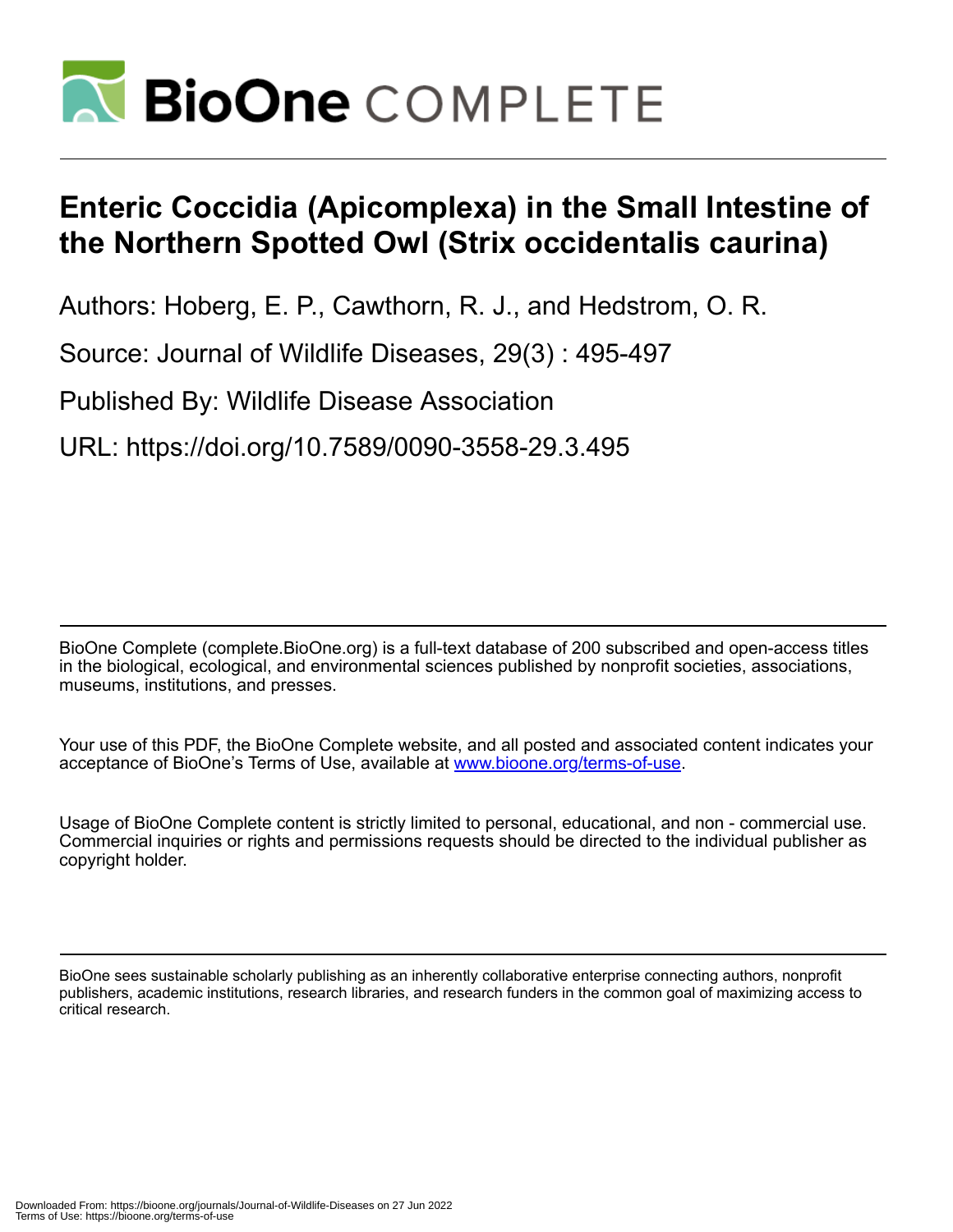

## **Enteric Coccidia (Apicomplexa) in the Small Intestine of the Northern Spotted Owl (Strix occidentalis caurina)**

Authors: Hoberg, E. P., Cawthorn, R. J., and Hedstrom, O. R.

Source: Journal of Wildlife Diseases, 29(3) : 495-497

Published By: Wildlife Disease Association

URL: https://doi.org/10.7589/0090-3558-29.3.495

BioOne Complete (complete.BioOne.org) is a full-text database of 200 subscribed and open-access titles in the biological, ecological, and environmental sciences published by nonprofit societies, associations, museums, institutions, and presses.

Your use of this PDF, the BioOne Complete website, and all posted and associated content indicates your acceptance of BioOne's Terms of Use, available at www.bioone.org/terms-of-use.

Usage of BioOne Complete content is strictly limited to personal, educational, and non - commercial use. Commercial inquiries or rights and permissions requests should be directed to the individual publisher as copyright holder.

BioOne sees sustainable scholarly publishing as an inherently collaborative enterprise connecting authors, nonprofit publishers, academic institutions, research libraries, and research funders in the common goal of maximizing access to critical research.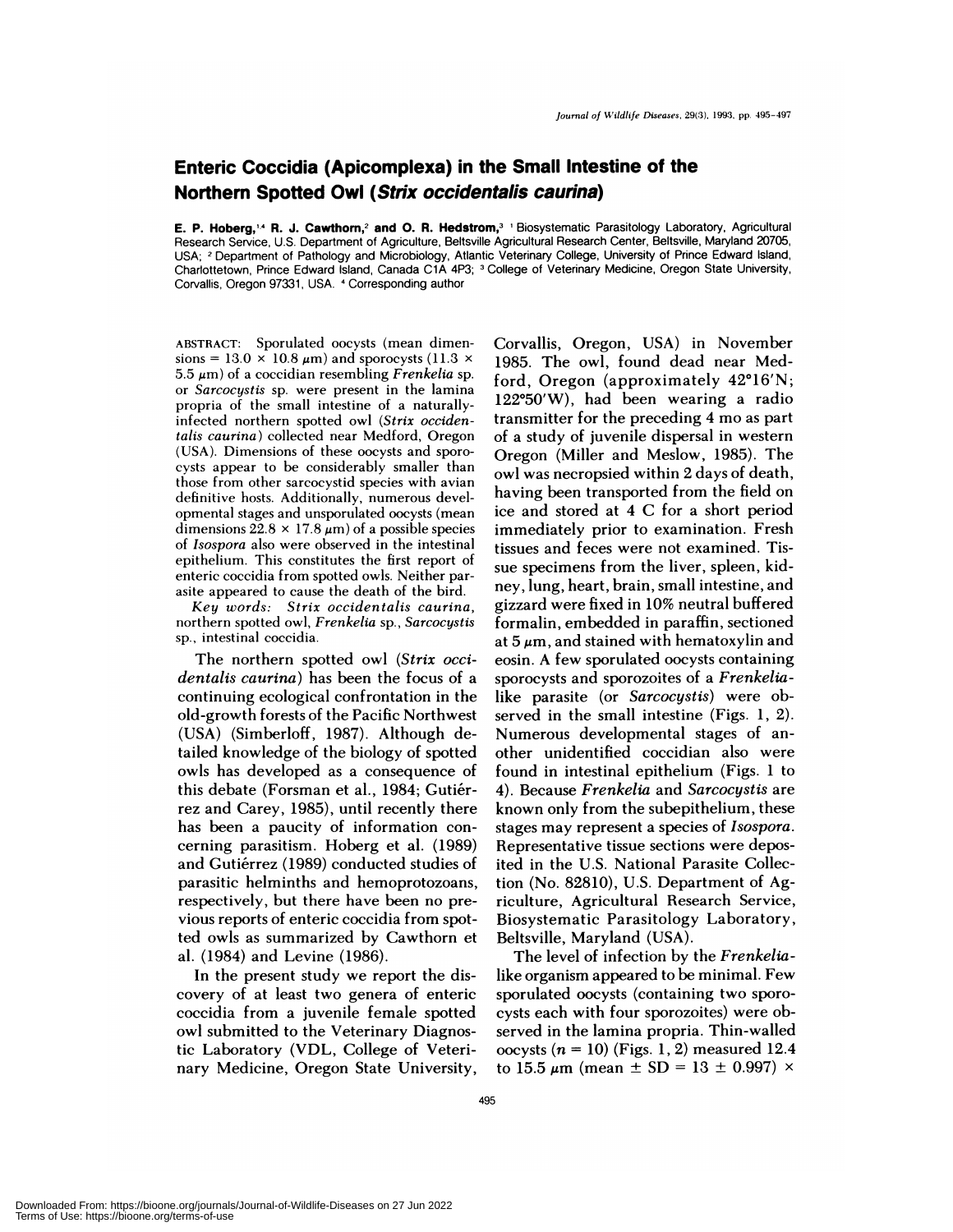## **Enteric Coccidia (Apicomplexa) in the Small Intestine of the Northern Spotted Owl (Strix occidentalis caurina)**

**E. P. Hoberg,'4 R. J. Cawthorn,2 and 0. R. Hedstrom,3** 'Biosystematic Parasitology Laboratory, Agricultural Research Service, U.S. Department of Agriculture, Beltsville Agricultural Research Center, Beltsville, Maryland 20705, USA; **<sup>2</sup>** Department of Pathology and Microbiology, Atlantic Veterinary College, University of Prince Edward Island, Charlottetown, Prince Edward Island, Canada C1A 4P3; <sup>3</sup> College of Veterinary Medicine, Oregon State University, Corvallis, Oregon 97331, USA. 4 Corresponding author

ABSTRACT: Sporulated oocysts (mean dimen sions =  $13.0 \times 10.8 \mu m$ ) and sporocysts (11.3  $\times$ 5.5  $\mu$ m) of a coccidian resembling *Frenkelia* sp. or *Sarcocystis* sp. were present in the lamina **propria of** the small intestine of a naturallyinfected northern spotted owl *(Strix occidentalis caurina)* collected near Medford, Oregon (USA). Dimensions of these oocysts and sporocysts appear to be considerably smaller than those from other sarcocystid species with avian definitive hosts. Additionally, numerous devel opmental stages and unsporulated oocysts (mean dimensions  $22.8 \times 17.8 \,\mu\text{m}$  of a possible species of *Isospora* also were observed in the intestinal epithelium. This constitutes the first report of enteric coccidia from spotted owls. Neither par asite appeared to cause the death of the bird.

*Key words: Strix occidentalis caurina,* northern spotted owl, *Frenkelia* sp., *Sarcocystis* sp., intestinal coccidia.

The northern spotted owl *(Strix occidentalis caurina)* has been the focus of a continuing ecological confrontation in the old-growth forests of the Pacific Northwest (USA) (Simberloff, 1987). Although detailed knowledge of the biology of spotted owls has developed as a consequence of this debate (Forsman et al., 1984; Gutiérrez and Carey, 1985), until recently there has been a paucity of information con cerning parasitism. Hoberg et a!. (1989) and Gutiérrez (1989) conducted studies of parasitic helminths and hemoprotozoans, respectively, but there have been no previous reports of enteric coccidia from spotted owls as summarized by Cawthorn et a!. (1984) and Levine (1986).

In the present study we report the discovery of at least two genera of enteric coccidia from a juvenile female spotted owl submitted to the Veterinary Diagnostic Laboratory (VDL, College of Veterinary Medicine, Oregon State University,

Corvallis, Oregon, USA) in November 1985. The owl, found dead near Medford, Oregon (approximately  $42^{\circ}16'N$ ;  $122^{\circ}50'$ W), had been wearing a radio transmitter for the preceding 4 mo as part of a study of juvenile dispersal in western Oregon (Miller and Meslow, 1985). The owl was necropsied within 2 days of death, having been transported from the field on ice and stored at 4 C for a short period immediately prior to examination. Fresh tissues and feces were not examined. Tis sue specimens from the liver, spleen, kidney, lung, heart, brain, small intestine, and gizzard were fixed in 10% neutral buffered formalin, embedded in paraffin, sectioned at  $5 \mu m$ , and stained with hematoxylin and eosin. A few sporulated oocysts containing sporocysts and sporozoites of a *Frenkelia*like parasite (or *Sarcocystis)* were observed in the small intestine (Figs. 1, 2). Numerous developmental stages of an other unidentified coccidian also were found in intestinal epithelium (Figs. 1 to 4). Because *Frenkelia* and *Sarcocystis* are known only from the subepithelium, these stages may represent a species of *Isospora.* Representative tissue sections were deposited in the U.S. National Parasite Collection (No. 82810), U.S. Department of Agriculture, Agricultural Research Service, Biosystematic Parasitology Laboratory, Beltsville, Maryland (USA).

The level of infection by the *Frenkelia*like organism appeared to be minimal. Few sporulated oocysts (containing two sporocysts each with four sporozoites) were observed in the lamina propria. Thin-walled oocysts  $(n = 10)$  (Figs. 1, 2) measured 12.4 to 15.5  $\mu$ m (mean  $\pm$  SD = 13  $\pm$  0.997)  $\times$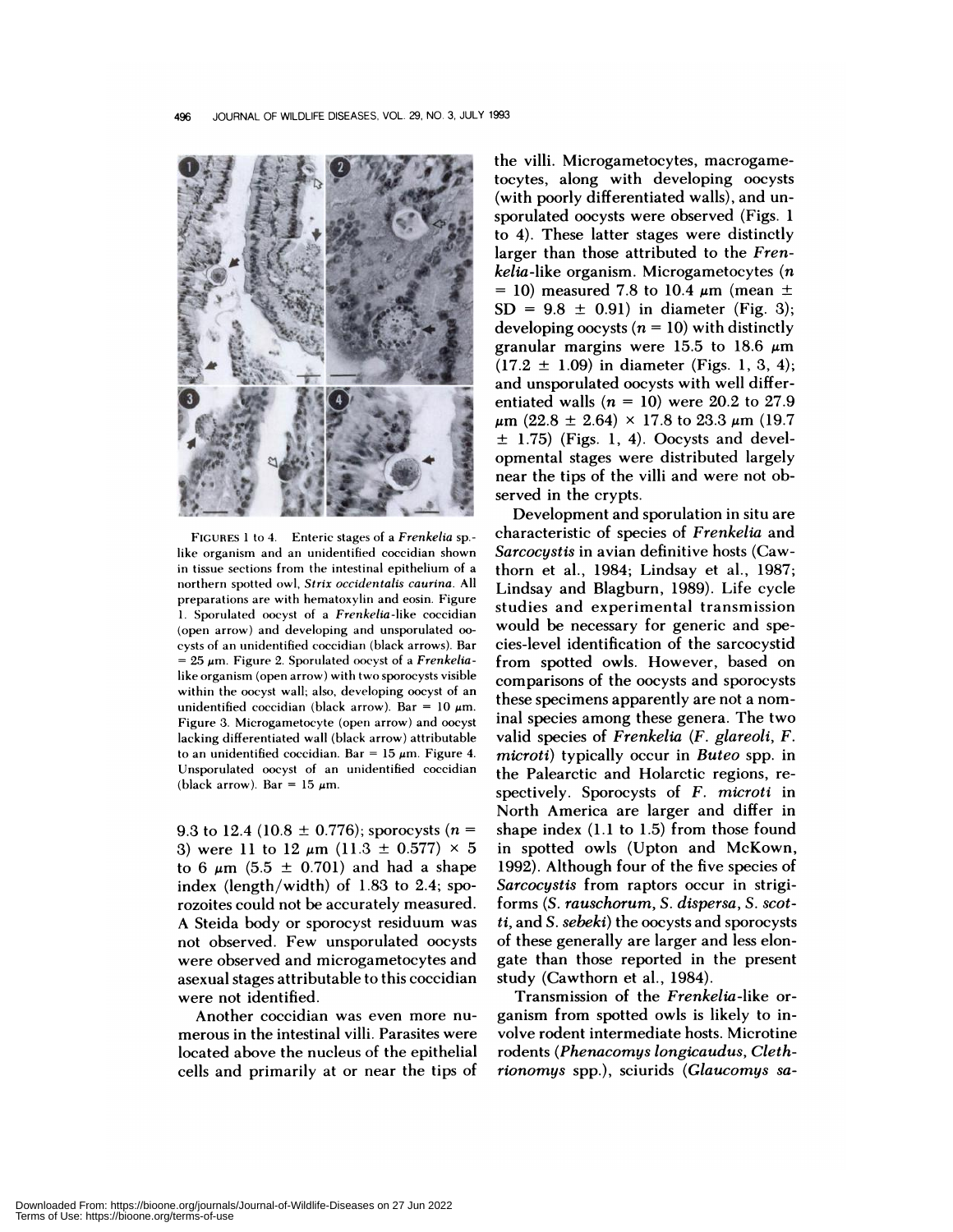

FIGURES 1 to 4. Enteric stages of a *Frenkelia* sp. like organism and an unidentified coccidian shown in tissue sections from the intestinal epithehium of a northern spotted owl, *Strix occidentalis caurina.* All preparations are with hematoxyhin and eosin. Figure 1. Sporulated oocyst of a *Frenkelia-like* coccidian (open arrow) and developing and unsporulated 00 cysts of an unidentified coccidian (black arrows). Bar **<sup>=</sup>** 25 m. Figure 2. Sporulated oocyst of a *Frenkelia*like organism (open arrow) with two sporocysts visible within the oocyst wall; also, developing oocyst of an unidentified coccidian (black arrow). Bar =  $10 \mu m$ . Figure 3. Microgametocyte (open arrow) and oocyst lacking differentiated wall (black arrow) attributable to an unidentified coccidian. Bar = 15  $\mu$ m. Figure 4. Unsporulated oocyst of an unidentified coccidian (black arrow). Bar =  $15 \mu m$ .

9.3 to 12.4 (10.8  $\pm$  0.776); sporocysts (n = 3) were 11 to 12  $\mu$ m (11.3  $\pm$  0.577)  $\times$  5 to 6  $\mu$ m (5.5  $\pm$  0.701) and had a shape index (length/width) of 1.83 to 2.4; sporozoites could not be accurately measured. A Steida body or sporocyst residuum was not observed. Few unsporulated oocysts were observed and microgametocytes and asexual stages attributable to this coccidian were not identified.

Another coccidian was even more nu merous in the intestinal villi. Parasites were located above the nucleus of the epithelial cells and primarily at or near the tips of

the villi. Microgametocytes, macrogametocytes, along with developing oocysts (with poorly differentiated walls), and un sporulated oocysts were observed (Figs. 1 to 4). These latter stages were distinctly larger than those attributed to the *Frenkelia-like* organism. Microgametocytes *(n* = 10) measured 7.8 to 10.4  $\mu$ m (mean  $\pm$  $SD = 9.8 \pm 0.91$  in diameter (Fig. 3); developing oocysts  $(n = 10)$  with distinctly granular margins were 15.5 to 18.6  $\mu$ m  $(17.2 \pm 1.09)$  in diameter (Figs. 1, 3, 4); and unsporulated oocysts with well differentiated walls  $(n = 10)$  were 20.2 to 27.9  $\mu$ m (22.8 ± 2.64) × 17.8 to 23.3  $\mu$ m (19.7  $\pm$  1.75) (Figs. 1, 4). Oocysts and developmental stages were distributed largely near the tips of the villi and were not observed in the crypts.

Development and sporulation in situ are characteristic of species of *Frenkelia* and *Sarcocystis* in avian definitive hosts (Cawthorn et a!., 1984; Lindsay et a!., 1987; Lindsay and Blagburn, 1989). Life cycle studies and experimental transmission would be necessary for generic and species-level identification of the sarcocystid from spotted owls. However, based on comparisons of the oocysts and sporocysts these specimens apparently are not a nominal species among these genera. The two valid species of *Frenkelia (F. glareoli, F. microti)* typically occur in *Buteo* spp. in the Palearctic and Holarctic regions, re spectively. Sporocysts of *F. microti* in North America are larger and differ in shape index (1.1 to 1.5) from those found in spotted owls (Upton and McKown, 1992). Although four of the five species of *Sarcocystis* from raptors occur in strigiforms *(S. rauschorum, S. dispersa, S. scotti,* and *S.sebeki)* the oocysts and sporocysts of these generally are larger and less elongate than those reported in the present study (Cawthorn et al., 1984).

Transmission of the *Frenkelia-like* or ganism from spotted owls is likely to involve rodent intermediate hosts. Microtine rodents *(Phenacomys longicaudus, Clethrionomys* spp.), sciurids *(Glaucomys sa-*